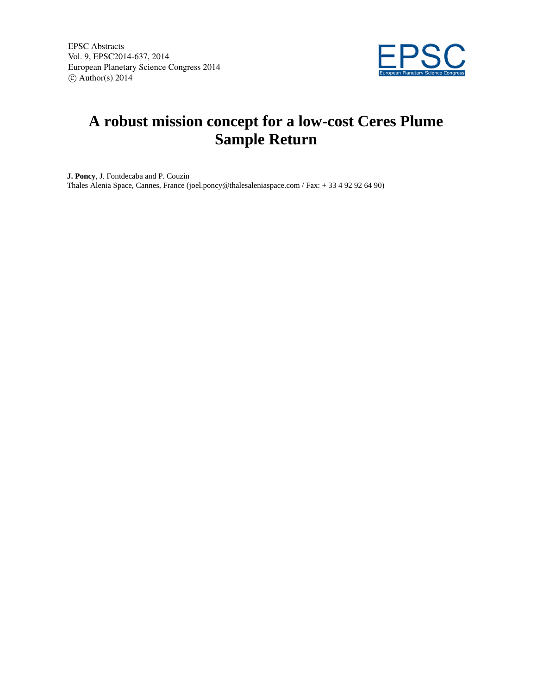EPSC Abstracts Vol. 9, EPSC2014-637, 2014 European Planetary Science Congress 2014  $\circ$  Author(s) 2014



# **A robust mission concept for a low-cost Ceres Plume Sample Return**

**J. Poncy**, J. Fontdecaba and P. Couzin Thales Alenia Space, Cannes, France (joel.poncy@thalesaleniaspace.com / Fax: + 33 4 92 92 64 90)